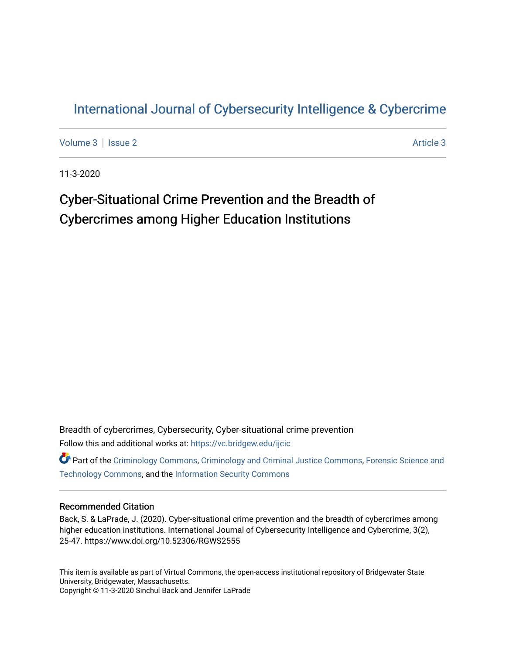## [International Journal of Cybersecurity Intelligence & Cybercrime](https://vc.bridgew.edu/ijcic)

[Volume 3](https://vc.bridgew.edu/ijcic/vol3) | [Issue 2](https://vc.bridgew.edu/ijcic/vol3/iss2) Article 3

11-3-2020

## Cyber-Situational Crime Prevention and the Breadth of Cybercrimes among Higher Education Institutions

Breadth of cybercrimes, Cybersecurity, Cyber-situational crime prevention Follow this and additional works at: [https://vc.bridgew.edu/ijcic](https://vc.bridgew.edu/ijcic?utm_source=vc.bridgew.edu%2Fijcic%2Fvol3%2Fiss2%2F3&utm_medium=PDF&utm_campaign=PDFCoverPages) 

**C** Part of the [Criminology Commons](https://network.bepress.com/hgg/discipline/417?utm_source=vc.bridgew.edu%2Fijcic%2Fvol3%2Fiss2%2F3&utm_medium=PDF&utm_campaign=PDFCoverPages), [Criminology and Criminal Justice Commons,](https://network.bepress.com/hgg/discipline/367?utm_source=vc.bridgew.edu%2Fijcic%2Fvol3%2Fiss2%2F3&utm_medium=PDF&utm_campaign=PDFCoverPages) Forensic Science and [Technology Commons,](https://network.bepress.com/hgg/discipline/1277?utm_source=vc.bridgew.edu%2Fijcic%2Fvol3%2Fiss2%2F3&utm_medium=PDF&utm_campaign=PDFCoverPages) and the [Information Security Commons](https://network.bepress.com/hgg/discipline/1247?utm_source=vc.bridgew.edu%2Fijcic%2Fvol3%2Fiss2%2F3&utm_medium=PDF&utm_campaign=PDFCoverPages) 

## Recommended Citation

Back, S. & LaPrade, J. (2020). Cyber-situational crime prevention and the breadth of cybercrimes among higher education institutions. International Journal of Cybersecurity Intelligence and Cybercrime, 3(2), 25-47. https://www.doi.org/10.52306/RGWS2555

This item is available as part of Virtual Commons, the open-access institutional repository of Bridgewater State University, Bridgewater, Massachusetts. Copyright © 11-3-2020 Sinchul Back and Jennifer LaPrade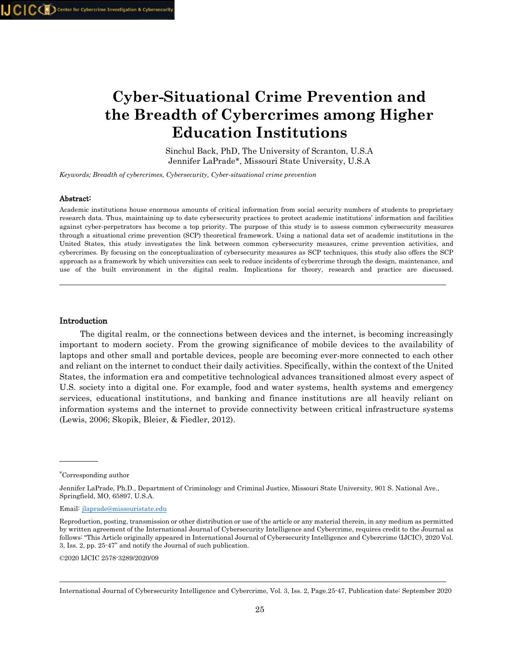# **Cyber-Situational Crime Prevention and the Breadth of Cybercrimes among Higher Education Institutions**

Sinchul Back, PhD, The University of Scranton, U.S.A Jennifer LaPrade\*, Missouri State University, U.S.A

*Keywords; Breadth of cybercrimes, Cybersecurity, Cyber-situational crime prevention*

#### Abstract:

Academic institutions house enormous amounts of critical information from social security numbers of students to proprietary research data. Thus, maintaining up to date cybersecurity practices to protect academic institutions' information and facilities against cyber-perpetrators has become a top priority. The purpose of this study is to assess common cybersecurity measures through a situational crime prevention (SCP) theoretical framework. Using a national data set of academic institutions in the United States, this study investigates the link between common cybersecurity measures, crime prevention activities, and cybercrimes. By focusing on the conceptualization of cybersecurity measures as SCP techniques, this study also offers the SCP approach as a framework by which universities can seek to reduce incidents of cybercrime through the design, maintenance, and use of the built environment in the digital realm. Implications for theory, research and practice are discussed.

#### Introduction

 The digital realm, or the connections between devices and the internet, is becoming increasingly important to modern society. From the growing significance of mobile devices to the availability of laptops and other small and portable devices, people are becoming ever-more connected to each other and reliant on the internet to conduct their daily activities. Specifically, within the context of the United States, the information era and competitive technological advances transitioned almost every aspect of U.S. society into a digital one. For example, food and water systems, health systems and emergency services, educational institutions, and banking and finance institutions are all heavily reliant on information systems and the internet to provide connectivity between critical infrastructure systems (Lewis, 2006; Skopik, Bleier, & Fiedler, 2012).

Email: [jlaprade@missouristate.edu](mailto:jlaprade@missouristate.edu)

©2020 IJCIC 2578-3289/2020/09

<sup>∗</sup> Corresponding author

Jennifer LaPrade, Ph.D., Department of Criminology and Criminal Justice, Missouri State University, 901 S. National Ave., Springfield, MO, 65897, U.S.A.

Reproduction, posting, transmission or other distribution or use of the article or any material therein, in any medium as permitted by written agreement of the International Journal of Cybersecurity Intelligence and Cybercrime, requires credit to the Journal as follows: "This Article originally appeared in International Journal of Cybersecurity Intelligence and Cybercrime (IJCIC), 2020 Vol. 3, Iss. 2, pp. 25-47" and notify the Journal of such publication.

International Journal of Cybersecurity Intelligence and Cybercrime, Vol. 3, Iss. 2, Page.25-47, Publication date: September 2020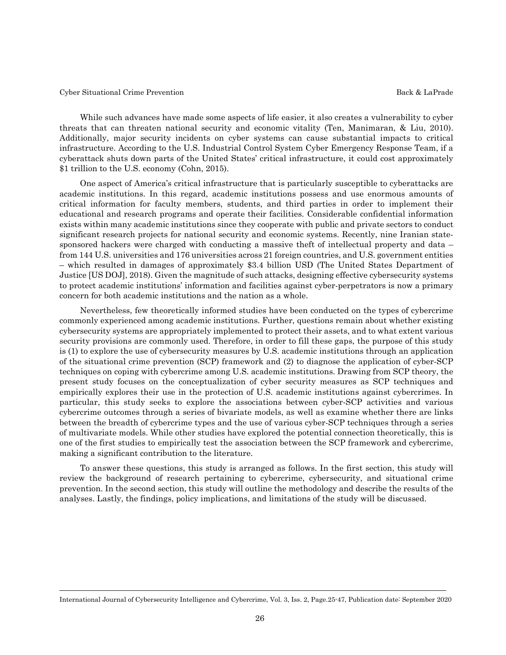While such advances have made some aspects of life easier, it also creates a vulnerability to cyber threats that can threaten national security and economic vitality (Ten, Manimaran, & Liu, 2010). Additionally, major security incidents on cyber systems can cause substantial impacts to critical infrastructure. According to the U.S. Industrial Control System Cyber Emergency Response Team, if a cyberattack shuts down parts of the United States' critical infrastructure, it could cost approximately \$1 trillion to the U.S. economy (Cohn, 2015).

 One aspect of America's critical infrastructure that is particularly susceptible to cyberattacks are academic institutions. In this regard, academic institutions possess and use enormous amounts of critical information for faculty members, students, and third parties in order to implement their educational and research programs and operate their facilities. Considerable confidential information exists within many academic institutions since they cooperate with public and private sectors to conduct significant research projects for national security and economic systems. Recently, nine Iranian statesponsored hackers were charged with conducting a massive theft of intellectual property and data – from 144 U.S. universities and 176 universities across 21 foreign countries, and U.S. government entities – which resulted in damages of approximately \$3.4 billion USD (The United States Department of Justice [US DOJ], 2018). Given the magnitude of such attacks, designing effective cybersecurity systems to protect academic institutions' information and facilities against cyber-perpetrators is now a primary concern for both academic institutions and the nation as a whole.

 Nevertheless, few theoretically informed studies have been conducted on the types of cybercrime commonly experienced among academic institutions. Further, questions remain about whether existing cybersecurity systems are appropriately implemented to protect their assets, and to what extent various security provisions are commonly used. Therefore, in order to fill these gaps, the purpose of this study is (1) to explore the use of cybersecurity measures by U.S. academic institutions through an application of the situational crime prevention (SCP) framework and (2) to diagnose the application of cyber-SCP techniques on coping with cybercrime among U.S. academic institutions. Drawing from SCP theory, the present study focuses on the conceptualization of cyber security measures as SCP techniques and empirically explores their use in the protection of U.S. academic institutions against cybercrimes. In particular, this study seeks to explore the associations between cyber-SCP activities and various cybercrime outcomes through a series of bivariate models, as well as examine whether there are links between the breadth of cybercrime types and the use of various cyber-SCP techniques through a series of multivariate models. While other studies have explored the potential connection theoretically, this is one of the first studies to empirically test the association between the SCP framework and cybercrime, making a significant contribution to the literature.

 To answer these questions, this study is arranged as follows. In the first section, this study will review the background of research pertaining to cybercrime, cybersecurity, and situational crime prevention. In the second section, this study will outline the methodology and describe the results of the analyses. Lastly, the findings, policy implications, and limitations of the study will be discussed.

International Journal of Cybersecurity Intelligence and Cybercrime, Vol. 3, Iss. 2, Page.25-47, Publication date: September 2020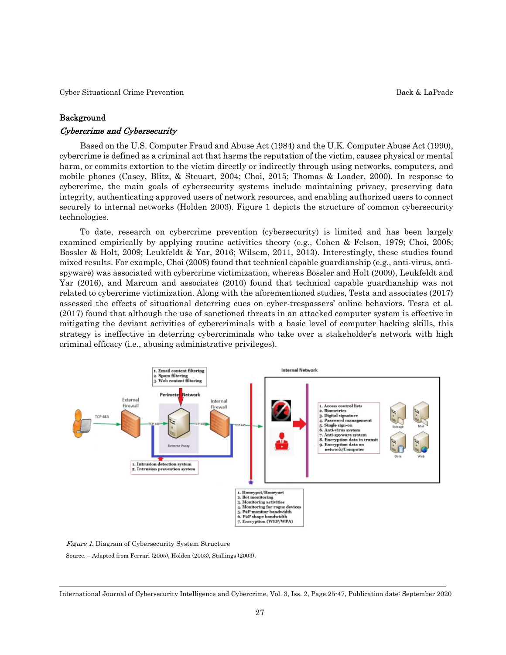#### Background

#### Cybercrime and Cybersecurity

 Based on the U.S. Computer Fraud and Abuse Act (1984) and the U.K. Computer Abuse Act (1990), cybercrime is defined as a criminal act that harms the reputation of the victim, causes physical or mental harm, or commits extortion to the victim directly or indirectly through using networks, computers, and mobile phones (Casey, Blitz, & Steuart, 2004; Choi, 2015; Thomas & Loader, 2000). In response to cybercrime, the main goals of cybersecurity systems include maintaining privacy, preserving data integrity, authenticating approved users of network resources, and enabling authorized users to connect securely to internal networks (Holden 2003). Figure 1 depicts the structure of common cybersecurity technologies.

 To date, research on cybercrime prevention (cybersecurity) is limited and has been largely examined empirically by applying routine activities theory (e.g., Cohen & Felson, 1979; Choi, 2008; Bossler & Holt, 2009; Leukfeldt & Yar, 2016; Wilsem, 2011, 2013). Interestingly, these studies found mixed results. For example, Choi (2008) found that technical capable guardianship (e.g., anti-virus, antispyware) was associated with cybercrime victimization, whereas Bossler and Holt (2009), Leukfeldt and Yar (2016), and Marcum and associates (2010) found that technical capable guardianship was not related to cybercrime victimization. Along with the aforementioned studies, Testa and associates (2017) assessed the effects of situational deterring cues on cyber-trespassers' online behaviors. Testa et al. (2017) found that although the use of sanctioned threats in an attacked computer system is effective in mitigating the deviant activities of cybercriminals with a basic level of computer hacking skills, this strategy is ineffective in deterring cybercriminals who take over a stakeholder's network with high criminal efficacy (i.e., abusing administrative privileges).



Figure 1. Diagram of Cybersecurity System Structure

Source. – Adapted from Ferrari (2005), Holden (2003), Stallings (2003).

International Journal of Cybersecurity Intelligence and Cybercrime, Vol. 3, Iss. 2, Page.25-47, Publication date: September 2020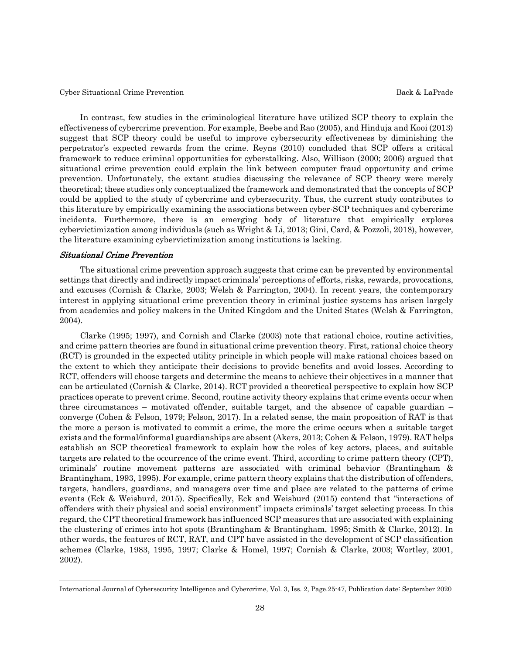In contrast, few studies in the criminological literature have utilized SCP theory to explain the effectiveness of cybercrime prevention. For example, Beebe and Rao (2005), and Hinduja and Kooi (2013) suggest that SCP theory could be useful to improve cybersecurity effectiveness by diminishing the perpetrator's expected rewards from the crime. Reyns (2010) concluded that SCP offers a critical framework to reduce criminal opportunities for cyberstalking. Also, Willison (2000; 2006) argued that situational crime prevention could explain the link between computer fraud opportunity and crime prevention. Unfortunately, the extant studies discussing the relevance of SCP theory were merely theoretical; these studies only conceptualized the framework and demonstrated that the concepts of SCP could be applied to the study of cybercrime and cybersecurity. Thus, the current study contributes to this literature by empirically examining the associations between cyber-SCP techniques and cybercrime incidents. Furthermore, there is an emerging body of literature that empirically explores cybervictimization among individuals (such as Wright & Li, 2013; Gini, Card, & Pozzoli, 2018), however, the literature examining cybervictimization among institutions is lacking.

#### Situational Crime Prevention

 The situational crime prevention approach suggests that crime can be prevented by environmental settings that directly and indirectly impact criminals' perceptions of efforts, risks, rewards, provocations, and excuses (Cornish & Clarke, 2003; Welsh & Farrington, 2004). In recent years, the contemporary interest in applying situational crime prevention theory in criminal justice systems has arisen largely from academics and policy makers in the United Kingdom and the United States (Welsh & Farrington, 2004).

 Clarke (1995; 1997), and Cornish and Clarke (2003) note that rational choice, routine activities, and crime pattern theories are found in situational crime prevention theory. First, rational choice theory (RCT) is grounded in the expected utility principle in which people will make rational choices based on the extent to which they anticipate their decisions to provide benefits and avoid losses. According to RCT, offenders will choose targets and determine the means to achieve their objectives in a manner that can be articulated (Cornish & Clarke, 2014). RCT provided a theoretical perspective to explain how SCP practices operate to prevent crime. Second, routine activity theory explains that crime events occur when three circumstances – motivated offender, suitable target, and the absence of capable guardian – converge (Cohen & Felson, 1979; Felson, 2017). In a related sense, the main proposition of RAT is that the more a person is motivated to commit a crime, the more the crime occurs when a suitable target exists and the formal/informal guardianships are absent (Akers, 2013; Cohen & Felson, 1979). RAT helps establish an SCP theoretical framework to explain how the roles of key actors, places, and suitable targets are related to the occurrence of the crime event. Third, according to crime pattern theory (CPT), criminals' routine movement patterns are associated with criminal behavior (Brantingham & Brantingham, 1993, 1995). For example, crime pattern theory explains that the distribution of offenders, targets, handlers, guardians, and managers over time and place are related to the patterns of crime events (Eck & Weisburd, 2015). Specifically, Eck and Weisburd (2015) contend that "interactions of offenders with their physical and social environment" impacts criminals' target selecting process. In this regard, the CPT theoretical framework has influenced SCP measures that are associated with explaining the clustering of crimes into hot spots (Brantingham & Brantingham, 1995; Smith & Clarke, 2012). In other words, the features of RCT, RAT, and CPT have assisted in the development of SCP classification schemes (Clarke, 1983, 1995, 1997; Clarke & Homel, 1997; Cornish & Clarke, 2003; Wortley, 2001, 2002).

International Journal of Cybersecurity Intelligence and Cybercrime, Vol. 3, Iss. 2, Page.25-47, Publication date: September 2020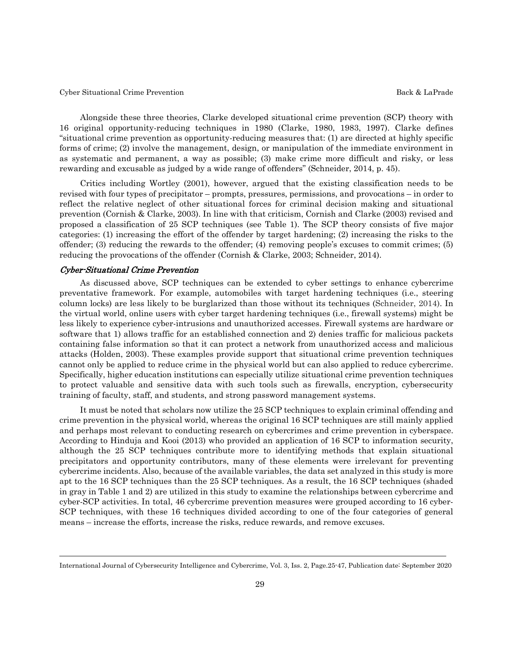Alongside these three theories, Clarke developed situational crime prevention (SCP) theory with 16 original opportunity-reducing techniques in 1980 (Clarke, 1980, 1983, 1997). Clarke defines "situational crime prevention as opportunity-reducing measures that: (1) are directed at highly specific forms of crime; (2) involve the management, design, or manipulation of the immediate environment in as systematic and permanent, a way as possible; (3) make crime more difficult and risky, or less rewarding and excusable as judged by a wide range of offenders" (Schneider, 2014, p. 45).

 Critics including Wortley (2001), however, argued that the existing classification needs to be revised with four types of precipitator – prompts, pressures, permissions, and provocations – in order to reflect the relative neglect of other situational forces for criminal decision making and situational prevention (Cornish & Clarke, 2003). In line with that criticism, Cornish and Clarke (2003) revised and proposed a classification of 25 SCP techniques (see Table 1). The SCP theory consists of five major categories: (1) increasing the effort of the offender by target hardening; (2) increasing the risks to the offender; (3) reducing the rewards to the offender; (4) removing people's excuses to commit crimes; (5) reducing the provocations of the offender (Cornish & Clarke, 2003; Schneider, 2014).

#### Cyber-Situational Crime Prevention

 As discussed above, SCP techniques can be extended to cyber settings to enhance cybercrime preventative framework. For example, automobiles with target hardening techniques (i.e., steering column locks) are less likely to be burglarized than those without its techniques (Schneider, 2014). In the virtual world, online users with cyber target hardening techniques (i.e., firewall systems) might be less likely to experience cyber-intrusions and unauthorized accesses. Firewall systems are hardware or software that 1) allows traffic for an established connection and 2) denies traffic for malicious packets containing false information so that it can protect a network from unauthorized access and malicious attacks (Holden, 2003). These examples provide support that situational crime prevention techniques cannot only be applied to reduce crime in the physical world but can also applied to reduce cybercrime. Specifically, higher education institutions can especially utilize situational crime prevention techniques to protect valuable and sensitive data with such tools such as firewalls, encryption, cybersecurity training of faculty, staff, and students, and strong password management systems.

 It must be noted that scholars now utilize the 25 SCP techniques to explain criminal offending and crime prevention in the physical world, whereas the original 16 SCP techniques are still mainly applied and perhaps most relevant to conducting research on cybercrimes and crime prevention in cyberspace. According to Hinduja and Kooi (2013) who provided an application of 16 SCP to information security, although the 25 SCP techniques contribute more to identifying methods that explain situational precipitators and opportunity contributors, many of these elements were irrelevant for preventing cybercrime incidents. Also, because of the available variables, the data set analyzed in this study is more apt to the 16 SCP techniques than the 25 SCP techniques. As a result, the 16 SCP techniques (shaded in gray in Table 1 and 2) are utilized in this study to examine the relationships between cybercrime and cyber-SCP activities. In total, 46 cybercrime prevention measures were grouped according to 16 cyber-SCP techniques, with these 16 techniques divided according to one of the four categories of general means – increase the efforts, increase the risks, reduce rewards, and remove excuses.

International Journal of Cybersecurity Intelligence and Cybercrime, Vol. 3, Iss. 2, Page.25-47, Publication date: September 2020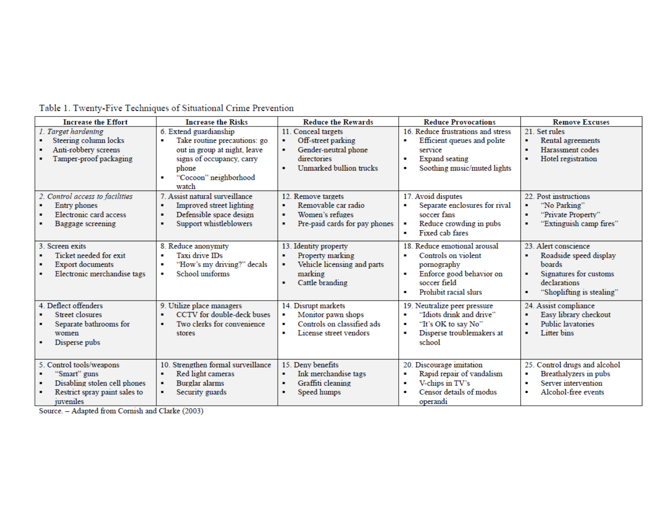| <b>Increase the Effort</b>                                                                                                                                                                | <b>Increase the Risks</b>                                                                                                                                      | <b>Reduce the Rewards</b>                                                                                                 | <b>Reduce Provocations</b>                                                                                                                                 | <b>Remove Excuses</b>                                                                                                                                                    |
|-------------------------------------------------------------------------------------------------------------------------------------------------------------------------------------------|----------------------------------------------------------------------------------------------------------------------------------------------------------------|---------------------------------------------------------------------------------------------------------------------------|------------------------------------------------------------------------------------------------------------------------------------------------------------|--------------------------------------------------------------------------------------------------------------------------------------------------------------------------|
| 1. Target hardening<br>Steering column locks<br>Anti-robbery screens<br>Tamper-proof packaging                                                                                            | 6. Extend guardianship<br>Take routine precautions: go<br>out in group at night, leave<br>signs of occupancy, carry<br>phone<br>"Cocoon" neighborhood<br>watch | 11. Conceal targets<br>Off-street parking<br>Gender-neutral phone<br>directories<br>Unmarked bullion trucks               | 16. Reduce frustrations and stress<br>Efficient queues and polite<br>service<br>Expand seating<br>Soothing music/muted lights<br>$\blacksquare$            | 21. Set rules<br>Rental agreements<br>٠<br>Harassment codes<br>٠<br>Hotel registration<br>٠                                                                              |
| 2. Control access to facilities<br>Entry phones<br>Electronic card access<br>Baggage screening                                                                                            | 7. Assist natural surveillance<br>Improved street lighting<br>Defensible space design<br>Support whistleblowers                                                | 12. Remove targets<br>Removable car radio<br>٠<br>Women's refuges<br>$\blacksquare$<br>Pre-paid cards for pay phones<br>٠ | 17. Avoid disputes<br>Separate enclosures for rival<br>soccer fans<br>Reduce crowding in pubs<br>Fixed cab fares<br>$\blacksquare$                         | 22. Post instructions<br>"No Parking"<br>٠<br>"Private Property"<br>٠<br>"Extinguish camp fires"<br>٠                                                                    |
| 3. Screen exits<br>Ticket needed for exit<br><b>Export documents</b><br>Electronic merchandise tags                                                                                       | 8. Reduce anonymity<br>Taxi drive IDs<br>"How's my driving?" decals<br>School uniforms<br>٠                                                                    | 13. Identity property<br>Property marking<br>Vehicle licensing and parts<br>٠<br>marking<br>Cattle branding               | 18. Reduce emotional arousal<br>Controls on violent<br>$\blacksquare$<br>pornography<br>Enforce good behavior on<br>soccer field<br>Prohibit racial slurs  | 23. Alert conscience<br>Roadside speed display<br>$\blacksquare$<br>boards<br>Signatures for customs<br>٠<br>declarations<br>"Shoplifting is stealing"<br>$\blacksquare$ |
| 4. Deflect offenders<br><b>Street closures</b><br>Separate bathrooms for<br>women<br>Disperse pubs                                                                                        | 9. Utilize place managers<br>CCTV for double-deck buses<br>Two clerks for convenience<br>stores                                                                | 14. Disrupt markets<br>Monitor pawn shops<br>Controls on classified ads<br>٠<br>License street vendors<br>$\blacksquare$  | 19. Neutralize peer pressure<br>"Idiots drink and drive"<br>"It's OK to say No"<br>$\blacksquare$<br>Disperse troublemakers at<br>$\blacksquare$<br>school | 24. Assist compliance<br>Easy library checkout<br>٠<br><b>Public lavatories</b><br>$\blacksquare$<br>Litter bins<br>٠                                                    |
| 5. Control tools/weapons<br>'Smart'' guns<br>Disabling stolen cell phones<br>Restrict spray paint sales to<br>juveniles<br>$\sim$<br><b>Contract</b><br><b>Contract Contract Contract</b> | 10. Strengthen formal surveillance<br>Red light cameras<br>Burglar alarms<br>Security guards<br><b>Contract Contract</b>                                       | 15. Deny benefits<br>Ink merchandise tags<br>Graffiti cleaning<br>л.<br>Speed humps                                       | 20. Discourage imitation<br>Rapid repair of vandalism<br>$\blacksquare$<br>V-chips in TV's<br>$\blacksquare$<br>Censor details of modus<br>٠<br>operandi   | 25. Control drugs and alcohol<br>Breathalyzers in pubs<br>٠<br>Server intervention<br>$\blacksquare$<br>Alcohol-free events<br>٠                                         |

Table 1. Twenty-Five Techniques of Situational Crime Prevention

Source. - Adapted from Cornish and Clarke (2003)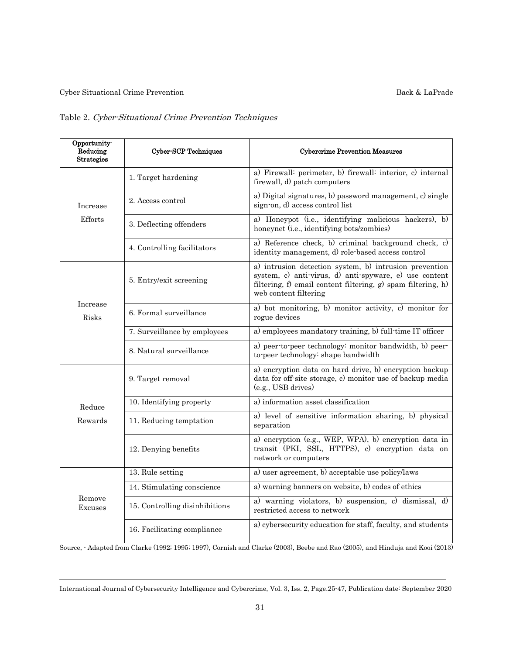## Table 2. Cyber-Situational Crime Prevention Techniques

| Opportunity-<br>Reducing<br><b>Strategies</b> | <b>Cyber-SCP Techniques</b>    | <b>Cybercrime Prevention Measures</b>                                                                                                                                                                     |  |  |  |  |  |
|-----------------------------------------------|--------------------------------|-----------------------------------------------------------------------------------------------------------------------------------------------------------------------------------------------------------|--|--|--|--|--|
|                                               | 1. Target hardening            | a) Firewall: perimeter, b) firewall: interior, c) internal<br>firewall, d) patch computers                                                                                                                |  |  |  |  |  |
| Increase                                      | 2. Access control              | a) Digital signatures, b) password management, c) single<br>sign-on, d) access control list                                                                                                               |  |  |  |  |  |
| Efforts                                       | 3. Deflecting offenders        | a) Honeypot (i.e., identifying malicious hackers), b)<br>honeynet (i.e., identifying bots/zombies)                                                                                                        |  |  |  |  |  |
|                                               | 4. Controlling facilitators    | a) Reference check, b) criminal background check, c)<br>identity management, d) role-based access control                                                                                                 |  |  |  |  |  |
|                                               | 5. Entry/exit screening        | a) intrusion detection system, b) intrusion prevention<br>system, c) anti-virus, d) anti-spyware, e) use content<br>filtering, f) email content filtering, g) spam filtering, h)<br>web content filtering |  |  |  |  |  |
| Increase<br>Risks                             | 6. Formal surveillance         | a) bot monitoring, b) monitor activity, c) monitor for<br>rogue devices                                                                                                                                   |  |  |  |  |  |
|                                               | 7. Surveillance by employees   | a) employees mandatory training, b) full-time IT officer                                                                                                                                                  |  |  |  |  |  |
|                                               | 8. Natural surveillance        | a) peer-to-peer technology: monitor bandwidth, b) peer-<br>to peer technology: shape bandwidth                                                                                                            |  |  |  |  |  |
|                                               | 9. Target removal              | a) encryption data on hard drive, b) encryption backup<br>data for off-site storage, c) monitor use of backup media<br>(e.g., USB drives)                                                                 |  |  |  |  |  |
| Reduce                                        | 10. Identifying property       | a) information asset classification                                                                                                                                                                       |  |  |  |  |  |
| Rewards                                       | 11. Reducing temptation        | a) level of sensitive information sharing, b) physical<br>separation                                                                                                                                      |  |  |  |  |  |
|                                               | 12. Denying benefits           | a) encryption (e.g., WEP, WPA), b) encryption data in<br>transit (PKI, SSL, HTTPS), c) encryption data on<br>network or computers                                                                         |  |  |  |  |  |
|                                               | 13. Rule setting               | a) user agreement, b) acceptable use policy/laws                                                                                                                                                          |  |  |  |  |  |
|                                               | 14. Stimulating conscience     | a) warning banners on website, b) codes of ethics                                                                                                                                                         |  |  |  |  |  |
| Remove<br>Excuses                             | 15. Controlling disinhibitions | a) warning violators, b) suspension, c) dismissal, d)<br>restricted access to network                                                                                                                     |  |  |  |  |  |
|                                               | 16. Facilitating compliance    | a) cybersecurity education for staff, faculty, and students                                                                                                                                               |  |  |  |  |  |

Source, - Adapted from Clarke (1992; 1995; 1997), Cornish and Clarke (2003), Beebe and Rao (2005), and Hinduja and Kooi (2013)

International Journal of Cybersecurity Intelligence and Cybercrime, Vol. 3, Iss. 2, Page.25-47, Publication date: September 2020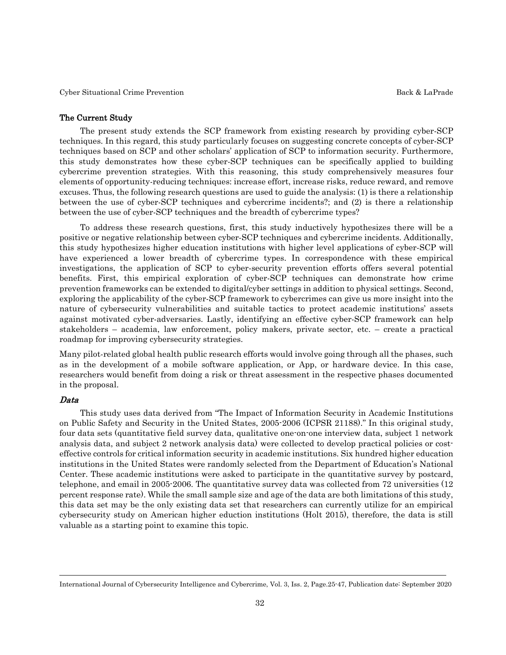#### The Current Study

 The present study extends the SCP framework from existing research by providing cyber-SCP techniques. In this regard, this study particularly focuses on suggesting concrete concepts of cyber-SCP techniques based on SCP and other scholars' application of SCP to information security. Furthermore, this study demonstrates how these cyber-SCP techniques can be specifically applied to building cybercrime prevention strategies. With this reasoning, this study comprehensively measures four elements of opportunity-reducing techniques: increase effort, increase risks, reduce reward, and remove excuses. Thus, the following research questions are used to guide the analysis: (1) is there a relationship between the use of cyber-SCP techniques and cybercrime incidents?; and (2) is there a relationship between the use of cyber-SCP techniques and the breadth of cybercrime types?

 To address these research questions, first, this study inductively hypothesizes there will be a positive or negative relationship between cyber-SCP techniques and cybercrime incidents. Additionally, this study hypothesizes higher education institutions with higher level applications of cyber-SCP will have experienced a lower breadth of cybercrime types. In correspondence with these empirical investigations, the application of SCP to cyber-security prevention efforts offers several potential benefits. First, this empirical exploration of cyber-SCP techniques can demonstrate how crime prevention frameworks can be extended to digital/cyber settings in addition to physical settings. Second, exploring the applicability of the cyber-SCP framework to cybercrimes can give us more insight into the nature of cybersecurity vulnerabilities and suitable tactics to protect academic institutions' assets against motivated cyber-adversaries. Lastly, identifying an effective cyber-SCP framework can help stakeholders – academia, law enforcement, policy makers, private sector, etc. – create a practical roadmap for improving cybersecurity strategies.

Many pilot-related global health public research efforts would involve going through all the phases, such as in the development of a mobile software application, or App, or hardware device. In this case, researchers would benefit from doing a risk or threat assessment in the respective phases documented in the proposal.

#### Data

 This study uses data derived from "The Impact of Information Security in Academic Institutions on Public Safety and Security in the United States, 2005-2006 (ICPSR 21188)." In this original study, four data sets (quantitative field survey data, qualitative one-on-one interview data, subject 1 network analysis data, and subject 2 network analysis data) were collected to develop practical policies or costeffective controls for critical information security in academic institutions. Six hundred higher education institutions in the United States were randomly selected from the Department of Education's National Center. These academic institutions were asked to participate in the quantitative survey by postcard, telephone, and email in 2005-2006. The quantitative survey data was collected from 72 universities (12 percent response rate). While the small sample size and age of the data are both limitations of this study, this data set may be the only existing data set that researchers can currently utilize for an empirical cybersecurity study on American higher eduction institutions (Holt 2015), therefore, the data is still valuable as a starting point to examine this topic.

International Journal of Cybersecurity Intelligence and Cybercrime, Vol. 3, Iss. 2, Page.25-47, Publication date: September 2020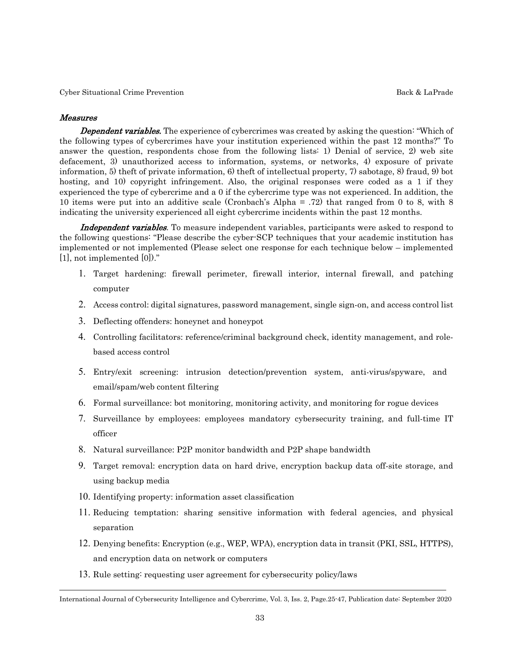#### Measures

**Dependent variables.** The experience of cybercrimes was created by asking the question: "Which of the following types of cybercrimes have your institution experienced within the past 12 months?" To answer the question, respondents chose from the following lists: 1) Denial of service, 2) web site defacement, 3) unauthorized access to information, systems, or networks, 4) exposure of private information, 5) theft of private information, 6) theft of intellectual property, 7) sabotage, 8) fraud, 9) bot hosting, and 10) copyright infringement. Also, the original responses were coded as a 1 if they experienced the type of cybercrime and a 0 if the cybercrime type was not experienced. In addition, the 10 items were put into an additive scale (Cronbach's Alpha = .72) that ranged from 0 to 8, with 8 indicating the university experienced all eight cybercrime incidents within the past 12 months.

Independent variables. To measure independent variables, participants were asked to respond to the following questions: "Please describe the cyber-SCP techniques that your academic institution has implemented or not implemented (Please select one response for each technique below – implemented [1], not implemented [0])."

- 1. Target hardening: firewall perimeter, firewall interior, internal firewall, and patching computer
- 2. Access control: digital signatures, password management, single sign-on, and access control list
- 3. Deflecting offenders: honeynet and honeypot
- 4. Controlling facilitators: reference/criminal background check, identity management, and rolebased access control
- 5. Entry/exit screening: intrusion detection/prevention system, anti-virus/spyware, and email/spam/web content filtering
- 6. Formal surveillance: bot monitoring, monitoring activity, and monitoring for rogue devices
- 7. Surveillance by employees: employees mandatory cybersecurity training, and full-time IT officer
- 8. Natural surveillance: P2P monitor bandwidth and P2P shape bandwidth
- 9. Target removal: encryption data on hard drive, encryption backup data off-site storage, and using backup media
- 10. Identifying property: information asset classification
- 11. Reducing temptation: sharing sensitive information with federal agencies, and physical separation
- 12. Denying benefits: Encryption (e.g., WEP, WPA), encryption data in transit (PKI, SSL, HTTPS), and encryption data on network or computers
- 13. Rule setting: requesting user agreement for cybersecurity policy/laws

International Journal of Cybersecurity Intelligence and Cybercrime, Vol. 3, Iss. 2, Page.25-47, Publication date: September 2020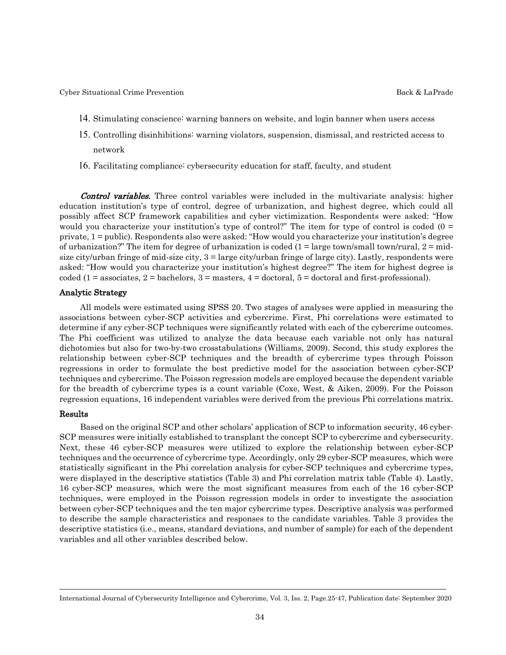- 14. Stimulating conscience: warning banners on website, and login banner when users access
- 15. Controlling disinhibitions: warning violators, suspension, dismissal, and restricted access to network
- 16. Facilitating compliance: cybersecurity education for staff, faculty, and student

**Control variables.** Three control variables were included in the multivariate analysis: higher education institution's type of control, degree of urbanization, and highest degree, which could all possibly affect SCP framework capabilities and cyber victimization. Respondents were asked: "How would you characterize your institution's type of control?" The item for type of control is coded  $(0 =$ private, 1 = public). Respondents also were asked: "How would you characterize your institution's degree of urbanization?" The item for degree of urbanization is coded  $(1 = \text{large town/small town/rural}]$  = midsize city/urban fringe of mid-size city, 3 = large city/urban fringe of large city). Lastly, respondents were asked: "How would you characterize your institution's highest degree?" The item for highest degree is coded (1 = associates, 2 = bachelors, 3 = masters,  $4$  = doctoral,  $5$  = doctoral and first-professional).

#### Analytic Strategy

 All models were estimated using SPSS 20. Two stages of analyses were applied in measuring the associations between cyber-SCP activities and cybercrime. First, Phi correlations were estimated to determine if any cyber-SCP techniques were significantly related with each of the cybercrime outcomes. The Phi coefficient was utilized to analyze the data because each variable not only has natural dichotomies but also for two-by-two crosstabulations (Williams, 2009). Second, this study explores the relationship between cyber-SCP techniques and the breadth of cybercrime types through Poisson regressions in order to formulate the best predictive model for the association between cyber-SCP techniques and cybercrime. The Poisson regression models are employed because the dependent variable for the breadth of cybercrime types is a count variable (Coxe, West, & Aiken, 2009). For the Poisson regression equations, 16 independent variables were derived from the previous Phi correlations matrix.

#### Results

 Based on the original SCP and other scholars' application of SCP to information security, 46 cyber-SCP measures were initially established to transplant the concept SCP to cybercrime and cybersecurity. Next, these 46 cyber-SCP measures were utilized to explore the relationship between cyber-SCP techniques and the occurrence of cybercrime type. Accordingly, only 29 cyber-SCP measures, which were statistically significant in the Phi correlation analysis for cyber-SCP techniques and cybercrime types, were displayed in the descriptive statistics (Table 3) and Phi correlation matrix table (Table 4). Lastly, 16 cyber-SCP measures, which were the most significant measures from each of the 16 cyber-SCP techniques, were employed in the Poisson regression models in order to investigate the association between cyber-SCP techniques and the ten major cybercrime types. Descriptive analysis was performed to describe the sample characteristics and responses to the candidate variables. Table 3 provides the descriptive statistics (i.e., means, standard deviations, and number of sample) for each of the dependent variables and all other variables described below.

International Journal of Cybersecurity Intelligence and Cybercrime, Vol. 3, Iss. 2, Page.25-47, Publication date: September 2020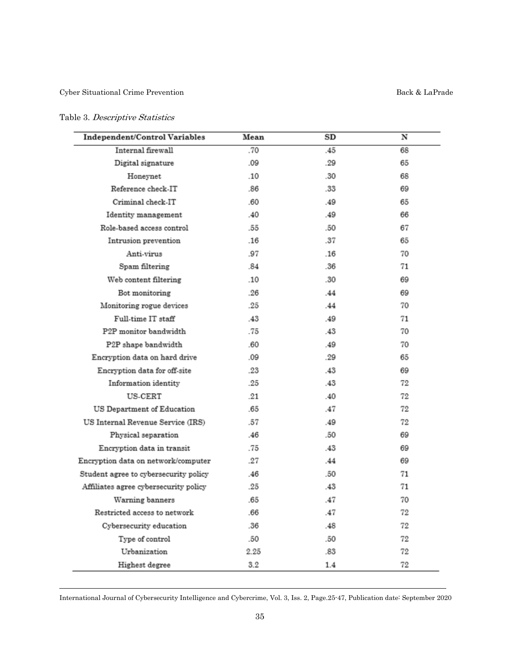## Table 3. Descriptive Statistics

| Independent/Control Variables         | Mean | SD  | N  |
|---------------------------------------|------|-----|----|
| Internal firewall                     | .70  | .45 | 68 |
| Digital signature                     | .09  | .29 | 65 |
| Honeynet                              | .10  | .30 | 68 |
| Reference check-IT                    | .86  | .33 | 69 |
| Criminal check-IT                     | .60  | .49 | 65 |
| Identity management                   | .40  | .49 | 66 |
| Role-based access control             | .55  | .50 | 67 |
| Intrusion prevention                  | .16  | .37 | 65 |
| Anti-virus                            | .97  | .16 | 70 |
| Spam filtering                        | .84  | .36 | 71 |
| Web content filtering                 | .10  | .30 | 69 |
| Bot monitoring                        | .26  | .44 | 69 |
| Monitoring rogue devices              | .25  | .44 | 70 |
| Full-time IT staff                    | .43  | .49 | 71 |
| P2P monitor bandwidth                 | .75  | .43 | 70 |
| P2P shape bandwidth                   | .60  | .49 | 70 |
| Encryption data on hard drive         | .09  | .29 | 65 |
| Encryption data for off-site          | .23  | .43 | 69 |
| Information identity                  | .25  | .43 | 72 |
| US-CERT                               | .21  | .40 | 72 |
| US Department of Education            | .65  | .47 | 72 |
| US Internal Revenue Service (IRS)     | .57  | .49 | 72 |
| Physical separation                   | .46  | .50 | 69 |
| Encryption data in transit            | .75  | .43 | 69 |
| Encryption data on network/computer   | .27  | .44 | 69 |
| Student agree to cybersecurity policy | .46  | .50 | 71 |
| Affiliates agree cybersecurity policy | .25  | .43 | 71 |
| Warning banners                       | .65  | .47 | 70 |
| Restricted access to network          | .66  | .47 | 72 |
| Cybersecurity education               | .36  | .48 | 72 |
| Type of control                       | .50  | .50 | 72 |
| Urbanization                          | 2.25 | .83 | 72 |
| Highest degree                        | 3.2  | 1.4 | 72 |

International Journal of Cybersecurity Intelligence and Cybercrime, Vol. 3, Iss. 2, Page.25-47, Publication date: September 2020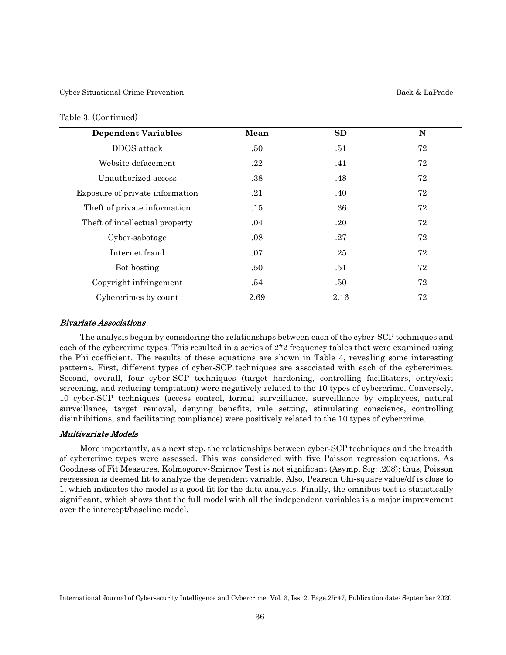#### Table 3. (Continued)

| <b>Dependent Variables</b>      | Mean | SD   | N  |
|---------------------------------|------|------|----|
| DDOS attack                     | .50  | .51  | 72 |
| Website defacement              | .22  | .41  | 72 |
| Unauthorized access             | .38  | .48  | 72 |
| Exposure of private information | .21  | .40  | 72 |
| Theft of private information    | .15  | .36  | 72 |
| Theft of intellectual property  | .04  | .20  | 72 |
| Cyber-sabotage                  | .08  | .27  | 72 |
| Internet fraud                  | .07  | .25  | 72 |
| Bot hosting                     | .50  | .51  | 72 |
| Copyright infringement          | .54  | .50  | 72 |
| Cybercrimes by count            | 2.69 | 2.16 | 72 |

#### Bivariate Associations

 The analysis began by considering the relationships between each of the cyber-SCP techniques and each of the cybercrime types. This resulted in a series of  $2*2$  frequency tables that were examined using the Phi coefficient. The results of these equations are shown in Table 4, revealing some interesting patterns. First, different types of cyber-SCP techniques are associated with each of the cybercrimes. Second, overall, four cyber-SCP techniques (target hardening, controlling facilitators, entry/exit screening, and reducing temptation) were negatively related to the 10 types of cybercrime. Conversely, 10 cyber-SCP techniques (access control, formal surveillance, surveillance by employees, natural surveillance, target removal, denying benefits, rule setting, stimulating conscience, controlling disinhibitions, and facilitating compliance) were positively related to the 10 types of cybercrime.

#### Multivariate Models

 More importantly, as a next step, the relationships between cyber-SCP techniques and the breadth of cybercrime types were assessed. This was considered with five Poisson regression equations. As Goodness of Fit Measures, Kolmogorov-Smirnov Test is not significant (Asymp. Sig: .208); thus, Poisson regression is deemed fit to analyze the dependent variable. Also, Pearson Chi-square value/df is close to 1, which indicates the model is a good fit for the data analysis. Finally, the omnibus test is statistically significant, which shows that the full model with all the independent variables is a major improvement over the intercept/baseline model.

International Journal of Cybersecurity Intelligence and Cybercrime, Vol. 3, Iss. 2, Page.25-47, Publication date: September 2020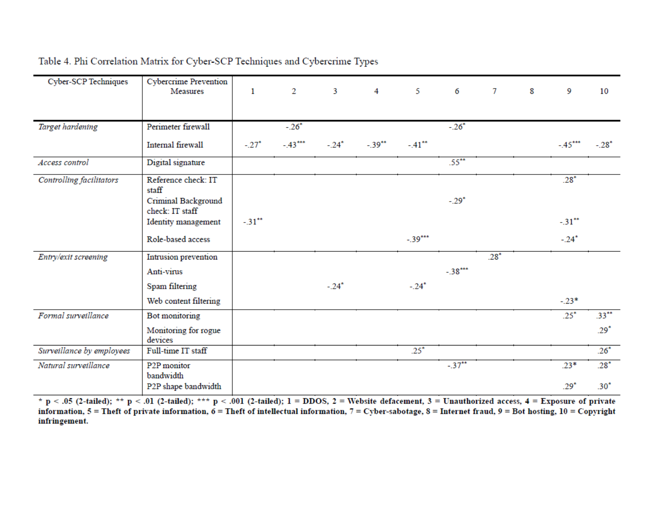| <b>Cyber-SCP Techniques</b> | <b>Cybercrime Prevention</b><br>Measures | $\mathbf{1}$        | $\overline{2}$ | $\mathbf{3}$ | 4        | 5         | 6         | $\tau$ | 8 | 9         | 10       |
|-----------------------------|------------------------------------------|---------------------|----------------|--------------|----------|-----------|-----------|--------|---|-----------|----------|
| Target hardening            | Perimeter firewall                       |                     | $-.26*$        |              |          |           | $-.26*$   |        |   |           |          |
|                             | Internal firewall                        | $-.27^*$            | $-.43***$      | $-.24*$      | $-.39**$ | $-.41$ ** |           |        |   | $-.45***$ | $-.28*$  |
| Access control              | Digital signature                        |                     |                |              |          |           | $.55***$  |        |   |           |          |
| Controlling facilitators    | Reference check: IT<br>staff             |                     |                |              |          |           |           |        |   | $.28*$    |          |
|                             | Criminal Background<br>check: IT staff   |                     |                |              |          |           | $-.29*$   |        |   |           |          |
|                             | Identity management                      | $-31$ <sup>**</sup> |                |              |          |           |           |        |   | $-31$ **  |          |
|                             | Role-based access                        |                     |                |              |          | $-.39***$ |           |        |   | $-.24*$   |          |
| Entry/exit screening        | Intrusion prevention                     |                     |                |              |          |           |           | $.28*$ |   |           |          |
|                             | Anti-virus                               |                     |                |              |          |           | $-.38***$ |        |   |           |          |
|                             | Spam filtering                           |                     |                | $-.24*$      |          | $-.24*$   |           |        |   |           |          |
|                             | Web content filtering                    |                     |                |              |          |           |           |        |   | $-.23*$   |          |
| Formal surveillance         | Bot monitoring                           |                     |                |              |          |           |           |        |   | $.25^*$   | $.33***$ |
|                             | Monitoring for rogue<br>devices          |                     |                |              |          |           |           |        |   |           | $.29^*$  |
| Surveillance by employees   | Full-time IT staff                       |                     |                |              |          | $.25*$    |           |        |   |           | $.26*$   |
| Natural surveillance        | P <sub>2</sub> P monitor<br>bandwidth    |                     |                |              |          |           | $-.37$ ** |        |   | $.23*$    | $.28^*$  |
|                             | P2P shape bandwidth                      |                     |                |              |          |           |           |        |   | $.29*$    | $.30*$   |

Table 4. Phi Correlation Matrix for Cyber-SCP Techniques and Cybercrime Types

\* p < .05 (2-tailed); \*\* p < .01 (2-tailed); \*\*\* p < .001 (2-tailed); 1 = DDOS, 2 = Website defacement, 3 = Unauthorized access, 4 = Exposure of private information,  $5 =$ Theft of private information,  $6 =$ Theft of intellectual information,  $7 =$ Cyber-sabotage,  $8 =$ Internet fraud,  $9 =$ Bot hosting,  $10 =$ Copyright infringement.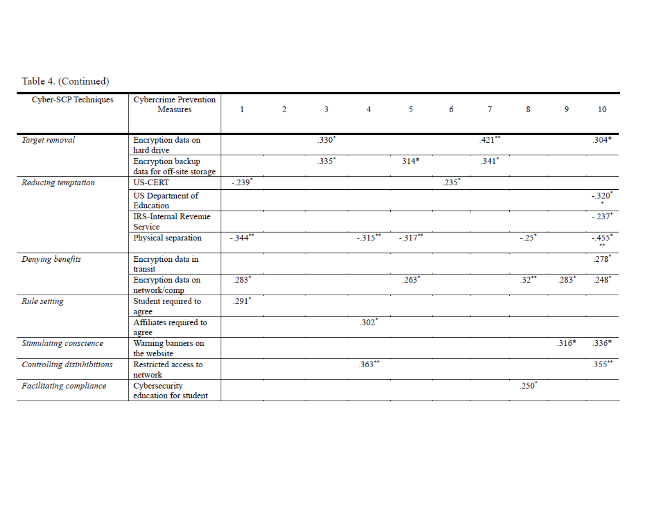|  | Table 4. (Continued) |
|--|----------------------|
|  |                      |

| <b>Cyber-SCP Techniques</b> | <b>Cybercrime Prevention</b><br>Measures       | 1         | 2 | 3       | 4                   | 5         | 6       | 7                   | 8        | 9       | 10                   |
|-----------------------------|------------------------------------------------|-----------|---|---------|---------------------|-----------|---------|---------------------|----------|---------|----------------------|
|                             |                                                |           |   |         |                     |           |         |                     |          |         |                      |
| Target removal              | Encryption data on<br>hard drive               |           |   | $.330*$ |                     |           |         | $.421$ **           |          |         | $.304*$              |
|                             | Encryption backup<br>data for off-site storage |           |   | $.335*$ |                     | $314*$    |         | $.341$ <sup>*</sup> |          |         |                      |
| Reducing temptation         | <b>US-CERT</b>                                 | $-.239"$  |   |         |                     |           | $.235*$ |                     |          |         |                      |
|                             | US Department of<br>Education                  |           |   |         |                     |           |         |                     |          |         | $-.320*$             |
|                             | <b>IRS-Internal Revenue</b><br>Service         |           |   |         |                     |           |         |                     |          |         | $-.237$ <sup>*</sup> |
|                             | Physical separation                            | $-344$ ** |   |         | $-315$ **           | $-317$ ** |         |                     | $-.25"$  |         | $-.455"$<br>**       |
| Denying benefits            | Encryption data in<br>transit                  |           |   |         |                     |           |         |                     |          |         | $.278*$              |
|                             | Encryption data on<br>network/comp             | $.283*$   |   |         |                     | $.263*$   |         |                     | $.32**$  | $.283*$ | $.248*$              |
| Rule setting                | Student required to<br>agree                   | $.291*$   |   |         |                     |           |         |                     |          |         |                      |
|                             | Affiliates required to<br>agree                |           |   |         | $.302$ <sup>*</sup> |           |         |                     |          |         |                      |
| Stimulating conscience      | Warning banners on<br>the website              |           |   |         |                     |           |         |                     |          | $.316*$ | $.336*$              |
| Controlling disinhibitions  | Restricted access to<br>network                |           |   |         | $.363**$            |           |         |                     |          |         | $.355***$            |
| Facilitating compliance     | Cybersecurity<br>education for student         |           |   |         |                     |           |         |                     | $.250^*$ |         |                      |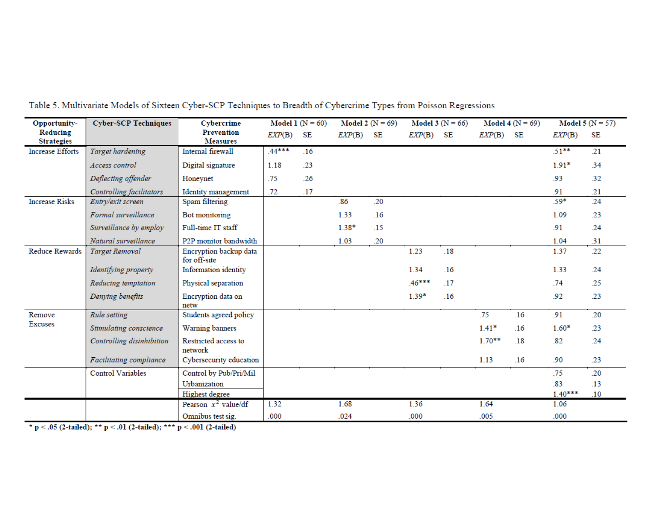| Opportunity-                  | <b>Cyber-SCP Techniques</b> | Cybercrime                             |          | Model 1 ( $N = 60$ ) |         | Model 2 ( $N = 69$ ) |         | Model 3 ( $N = 66$ ) |          | Model 4 ( $N = 69$ ) |           | Model 5 ( $N = 57$ ) |
|-------------------------------|-----------------------------|----------------------------------------|----------|----------------------|---------|----------------------|---------|----------------------|----------|----------------------|-----------|----------------------|
| Reducing<br><b>Strategies</b> |                             | <b>Prevention</b><br><b>Measures</b>   | EXP(B)   | SE                   | EXP(B)  | SE                   | EXP(B)  | SE                   | EXP(B)   | SE                   | EXP(B)    | SE                   |
| <b>Increase Efforts</b>       | Target hardening            | Internal firewall                      | $.44***$ | .16                  |         |                      |         |                      |          |                      | $.51***$  | .21                  |
|                               | Access control              | Digital signature                      | 1.18     | .23                  |         |                      |         |                      |          |                      | $1.91*$   | .34                  |
|                               | Deflecting offender         | Honeynet                               | .75      | .26                  |         |                      |         |                      |          |                      | .93       | .32                  |
|                               | Controlling facilitators    | Identity management                    | .72      | .17                  |         |                      |         |                      |          |                      | .91       | .21                  |
| <b>Increase Risks</b>         | Entry/exit screen           | Spam filtering                         |          |                      | .86     | .20                  |         |                      |          |                      | $.59*$    | .24                  |
|                               | Formal surveillance         | Bot monitoring                         |          |                      | 1.33    | .16                  |         |                      |          |                      | 1.09      | .23                  |
|                               | Surveillance by employ      | Full-time IT staff                     |          |                      | $1.38*$ | .15                  |         |                      |          |                      | .91       | .24                  |
|                               | Natural surveillance        | P <sub>2</sub> P monitor bandwidth     |          |                      | 1.03    | .20                  |         |                      |          |                      | 1.04      | .31                  |
| Reduce Rewards                | <b>Target Removal</b>       | Encryption backup data<br>for off-site |          |                      |         |                      | 1.23    | .18                  |          |                      | 1.37      | .22                  |
|                               | Identifying property        | Information identity                   |          |                      |         |                      | 1.34    | .16                  |          |                      | 1.33      | .24                  |
|                               | Reducing temptation         | Physical separation                    |          |                      |         |                      | .46***  | .17                  |          |                      | .74       | .25                  |
|                               | Denying benefits            | Encryption data on<br>netw             |          |                      |         |                      | $1.39*$ | .16                  |          |                      | .92       | .23                  |
| Remove                        | Rule setting                | Students agreed policy                 |          |                      |         |                      |         |                      | .75      | .16                  | .91       | .20                  |
| <b>Excuses</b>                | Stimulating conscience      | Warning banners                        |          |                      |         |                      |         |                      | $1.41*$  | .16                  | $1.60*$   | .23                  |
|                               | Controlling disinhibition   | Restricted access to<br>network        |          |                      |         |                      |         |                      | $1.70**$ | .18                  | .82       | .24                  |
|                               | Facilitating compliance     | Cybersecurity education                |          |                      |         |                      |         |                      | 1.13     | .16                  | .90       | .23                  |
|                               | <b>Control Variables</b>    | Control by Pub/Pri/Mil                 |          |                      |         |                      |         |                      |          |                      | .75       | .20                  |
|                               |                             | Urbanization                           |          |                      |         |                      |         |                      |          |                      | .83       | .13                  |
|                               |                             | Highest degree                         |          |                      |         |                      |         |                      |          |                      | $1.40***$ | .10                  |
|                               |                             | Pearson $x^2$ value/df                 | 1.32     |                      | 1.68    |                      | 1.36    |                      | 1.64     |                      | 1.06      |                      |
|                               |                             | Omnibus test sig.                      | .000     |                      | .024    |                      | .000    |                      | .005     |                      | .000      |                      |

Table 5. Multivariate Models of Sixteen Cyber-SCP Techniques to Breadth of Cybercrime Types from Poisson Regressions

 $^{\star}$  p < .05 (2-tailed);  $^{\star\star}$  p < .01 (2-tailed);  $^{\star\star\star}$  p < .001 (2-tailed)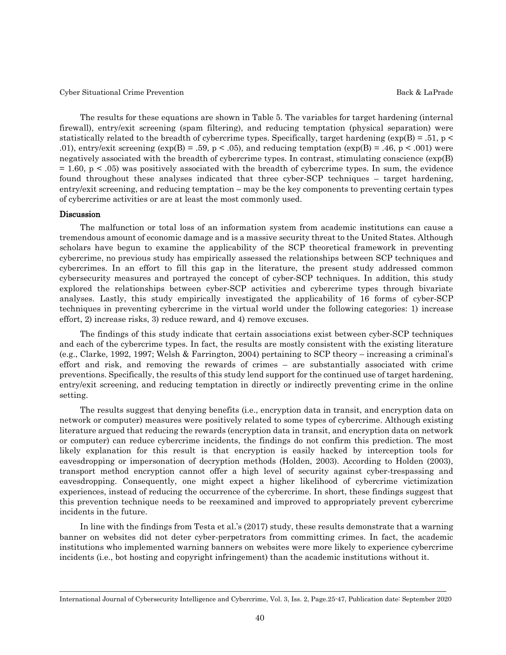The results for these equations are shown in Table 5. The variables for target hardening (internal firewall), entry/exit screening (spam filtering), and reducing temptation (physical separation) were statistically related to the breadth of cybercrime types. Specifically, target hardening ( $\exp(B) = .51$ , p < .01), entry/exit screening (exp(B) = .59, p < .05), and reducing temptation (exp(B) = .46, p < .001) were negatively associated with the breadth of cybercrime types. In contrast, stimulating conscience (exp(B)  $= 1.60$ ,  $p < .05$ ) was positively associated with the breadth of cybercrime types. In sum, the evidence found throughout these analyses indicated that three cyber-SCP techniques – target hardening, entry/exit screening, and reducing temptation – may be the key components to preventing certain types of cybercrime activities or are at least the most commonly used.

#### Discussion

 The malfunction or total loss of an information system from academic institutions can cause a tremendous amount of economic damage and is a massive security threat to the United States. Although scholars have begun to examine the applicability of the SCP theoretical framework in preventing cybercrime, no previous study has empirically assessed the relationships between SCP techniques and cybercrimes. In an effort to fill this gap in the literature, the present study addressed common cybersecurity measures and portrayed the concept of cyber-SCP techniques. In addition, this study explored the relationships between cyber-SCP activities and cybercrime types through bivariate analyses. Lastly, this study empirically investigated the applicability of 16 forms of cyber-SCP techniques in preventing cybercrime in the virtual world under the following categories: 1) increase effort, 2) increase risks, 3) reduce reward, and 4) remove excuses.

 The findings of this study indicate that certain associations exist between cyber-SCP techniques and each of the cybercrime types. In fact, the results are mostly consistent with the existing literature (e.g., Clarke, 1992, 1997; Welsh & Farrington, 2004) pertaining to SCP theory – increasing a criminal's effort and risk, and removing the rewards of crimes – are substantially associated with crime preventions. Specifically, the results of this study lend support for the continued use of target hardening, entry/exit screening, and reducing temptation in directly or indirectly preventing crime in the online setting.

 The results suggest that denying benefits (i.e., encryption data in transit, and encryption data on network or computer) measures were positively related to some types of cybercrime. Although existing literature argued that reducing the rewards (encryption data in transit, and encryption data on network or computer) can reduce cybercrime incidents, the findings do not confirm this prediction. The most likely explanation for this result is that encryption is easily hacked by interception tools for eavesdropping or impersonation of decryption methods (Holden, 2003). According to Holden (2003), transport method encryption cannot offer a high level of security against cyber-trespassing and eavesdropping. Consequently, one might expect a higher likelihood of cybercrime victimization experiences, instead of reducing the occurrence of the cybercrime. In short, these findings suggest that this prevention technique needs to be reexamined and improved to appropriately prevent cybercrime incidents in the future.

 In line with the findings from Testa et al.'s (2017) study, these results demonstrate that a warning banner on websites did not deter cyber-perpetrators from committing crimes. In fact, the academic institutions who implemented warning banners on websites were more likely to experience cybercrime incidents (i.e., bot hosting and copyright infringement) than the academic institutions without it.

International Journal of Cybersecurity Intelligence and Cybercrime, Vol. 3, Iss. 2, Page.25-47, Publication date: September 2020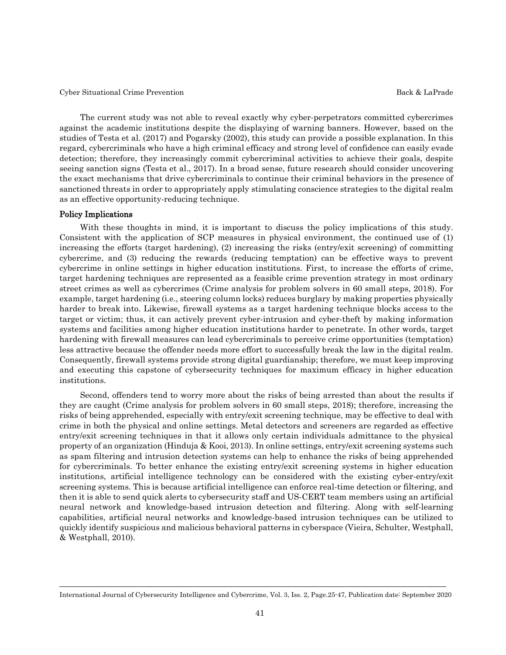The current study was not able to reveal exactly why cyber-perpetrators committed cybercrimes against the academic institutions despite the displaying of warning banners. However, based on the studies of Testa et al. (2017) and Pogarsky (2002), this study can provide a possible explanation. In this regard, cybercriminals who have a high criminal efficacy and strong level of confidence can easily evade detection; therefore, they increasingly commit cybercriminal activities to achieve their goals, despite seeing sanction signs (Testa et al., 2017). In a broad sense, future research should consider uncovering the exact mechanisms that drive cybercriminals to continue their criminal behaviors in the presence of sanctioned threats in order to appropriately apply stimulating conscience strategies to the digital realm as an effective opportunity-reducing technique.

#### Policy Implications

 With these thoughts in mind, it is important to discuss the policy implications of this study. Consistent with the application of SCP measures in physical environment, the continued use of (1) increasing the efforts (target hardening), (2) increasing the risks (entry/exit screening) of committing cybercrime, and (3) reducing the rewards (reducing temptation) can be effective ways to prevent cybercrime in online settings in higher education institutions. First, to increase the efforts of crime, target hardening techniques are represented as a feasible crime prevention strategy in most ordinary street crimes as well as cybercrimes (Crime analysis for problem solvers in 60 small steps, 2018). For example, target hardening (i.e., steering column locks) reduces burglary by making properties physically harder to break into. Likewise, firewall systems as a target hardening technique blocks access to the target or victim; thus, it can actively prevent cyber-intrusion and cyber-theft by making information systems and facilities among higher education institutions harder to penetrate. In other words, target hardening with firewall measures can lead cybercriminals to perceive crime opportunities (temptation) less attractive because the offender needs more effort to successfully break the law in the digital realm. Consequently, firewall systems provide strong digital guardianship; therefore, we must keep improving and executing this capstone of cybersecurity techniques for maximum efficacy in higher education institutions.

 Second, offenders tend to worry more about the risks of being arrested than about the results if they are caught (Crime analysis for problem solvers in 60 small steps, 2018); therefore, increasing the risks of being apprehended, especially with entry/exit screening technique, may be effective to deal with crime in both the physical and online settings. Metal detectors and screeners are regarded as effective entry/exit screening techniques in that it allows only certain individuals admittance to the physical property of an organization (Hinduja & Kooi, 2013). In online settings, entry/exit screening systems such as spam filtering and intrusion detection systems can help to enhance the risks of being apprehended for cybercriminals. To better enhance the existing entry/exit screening systems in higher education institutions, artificial intelligence technology can be considered with the existing cyber-entry/exit screening systems. This is because artificial intelligence can enforce real-time detection or filtering, and then it is able to send quick alerts to cybersecurity staff and US-CERT team members using an artificial neural network and knowledge-based intrusion detection and filtering. Along with self-learning capabilities, artificial neural networks and knowledge-based intrusion techniques can be utilized to quickly identify suspicious and malicious behavioral patterns in cyberspace (Vieira, Schulter, Westphall, & Westphall, 2010).

International Journal of Cybersecurity Intelligence and Cybercrime, Vol. 3, Iss. 2, Page.25-47, Publication date: September 2020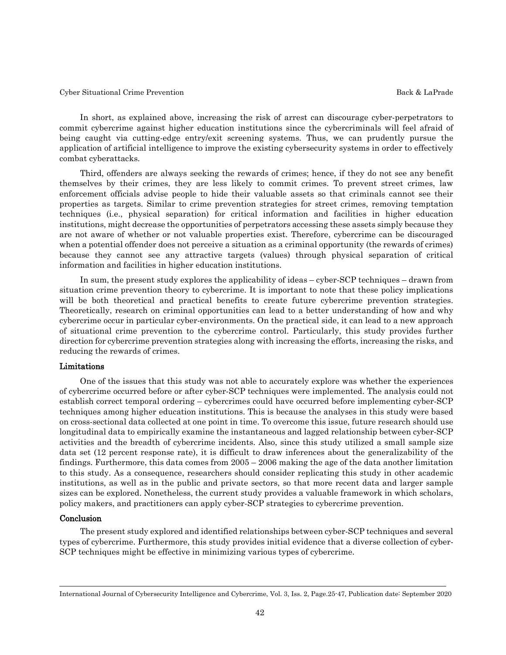In short, as explained above, increasing the risk of arrest can discourage cyber-perpetrators to commit cybercrime against higher education institutions since the cybercriminals will feel afraid of being caught via cutting-edge entry/exit screening systems. Thus, we can prudently pursue the application of artificial intelligence to improve the existing cybersecurity systems in order to effectively combat cyberattacks.

 Third, offenders are always seeking the rewards of crimes; hence, if they do not see any benefit themselves by their crimes, they are less likely to commit crimes. To prevent street crimes, law enforcement officials advise people to hide their valuable assets so that criminals cannot see their properties as targets. Similar to crime prevention strategies for street crimes, removing temptation techniques (i.e., physical separation) for critical information and facilities in higher education institutions, might decrease the opportunities of perpetrators accessing these assets simply because they are not aware of whether or not valuable properties exist. Therefore, cybercrime can be discouraged when a potential offender does not perceive a situation as a criminal opportunity (the rewards of crimes) because they cannot see any attractive targets (values) through physical separation of critical information and facilities in higher education institutions.

 In sum, the present study explores the applicability of ideas – cyber-SCP techniques – drawn from situation crime prevention theory to cybercrime. It is important to note that these policy implications will be both theoretical and practical benefits to create future cybercrime prevention strategies. Theoretically, research on criminal opportunities can lead to a better understanding of how and why cybercrime occur in particular cyber-environments. On the practical side, it can lead to a new approach of situational crime prevention to the cybercrime control. Particularly, this study provides further direction for cybercrime prevention strategies along with increasing the efforts, increasing the risks, and reducing the rewards of crimes.

#### Limitations

 One of the issues that this study was not able to accurately explore was whether the experiences of cybercrime occurred before or after cyber-SCP techniques were implemented. The analysis could not establish correct temporal ordering – cybercrimes could have occurred before implementing cyber-SCP techniques among higher education institutions. This is because the analyses in this study were based on cross-sectional data collected at one point in time. To overcome this issue, future research should use longitudinal data to empirically examine the instantaneous and lagged relationship between cyber-SCP activities and the breadth of cybercrime incidents. Also, since this study utilized a small sample size data set (12 percent response rate), it is difficult to draw inferences about the generalizability of the findings. Furthermore, this data comes from 2005 – 2006 making the age of the data another limitation to this study. As a consequence, researchers should consider replicating this study in other academic institutions, as well as in the public and private sectors, so that more recent data and larger sample sizes can be explored. Nonetheless, the current study provides a valuable framework in which scholars, policy makers, and practitioners can apply cyber-SCP strategies to cybercrime prevention.

#### Conclusion

 The present study explored and identified relationships between cyber-SCP techniques and several types of cybercrime. Furthermore, this study provides initial evidence that a diverse collection of cyber-SCP techniques might be effective in minimizing various types of cybercrime.

International Journal of Cybersecurity Intelligence and Cybercrime, Vol. 3, Iss. 2, Page.25-47, Publication date: September 2020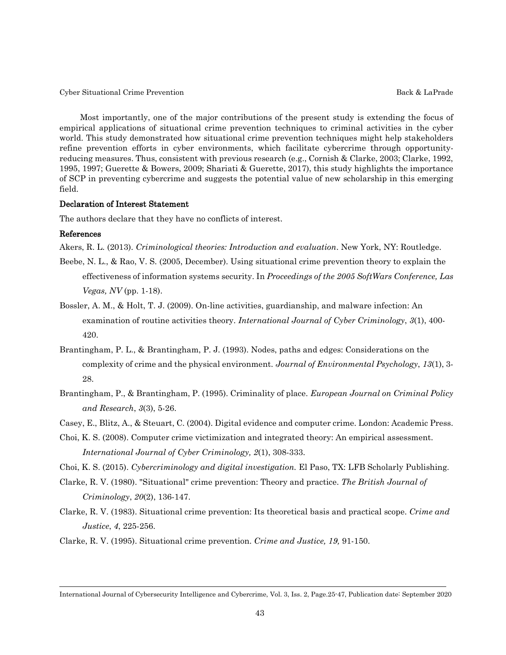Most importantly, one of the major contributions of the present study is extending the focus of empirical applications of situational crime prevention techniques to criminal activities in the cyber world. This study demonstrated how situational crime prevention techniques might help stakeholders refine prevention efforts in cyber environments, which facilitate cybercrime through opportunityreducing measures. Thus, consistent with previous research (e.g., Cornish & Clarke, 2003; Clarke, 1992, 1995, 1997; Guerette & Bowers, 2009; Shariati & Guerette, 2017), this study highlights the importance of SCP in preventing cybercrime and suggests the potential value of new scholarship in this emerging field.

#### Declaration of Interest Statement

The authors declare that they have no conflicts of interest.

#### References

Akers, R. L. (2013). *Criminological theories: Introduction and evaluation*. New York, NY: Routledge.

- Beebe, N. L., & Rao, V. S. (2005, December). Using situational crime prevention theory to explain the effectiveness of information systems security. In *Proceedings of the 2005 SoftWars Conference, Las Vegas, NV* (pp. 1-18).
- Bossler, A. M., & Holt, T. J. (2009). On-line activities, guardianship, and malware infection: An examination of routine activities theory. *International Journal of Cyber Criminology*, *3*(1), 400- 420.
- Brantingham, P. L., & Brantingham, P. J. (1993). Nodes, paths and edges: Considerations on the complexity of crime and the physical environment. *Journal of Environmental Psychology*, *13*(1), 3- 28.
- Brantingham, P., & Brantingham, P. (1995). Criminality of place. *European Journal on Criminal Policy and Research*, *3*(3), 5-26.
- Casey, E., Blitz, A., & Steuart, C. (2004). Digital evidence and computer crime. London: Academic Press.
- Choi, K. S. (2008). Computer crime victimization and integrated theory: An empirical assessment. *International Journal of Cyber Criminology, 2*(1), 308-333.
- Choi, K. S. (2015). *Cybercriminology and digital investigation.* El Paso, TX: LFB Scholarly Publishing.
- Clarke, R. V. (1980). "Situational" crime prevention: Theory and practice. *The British Journal of Criminology*, *20*(2), 136-147.
- Clarke, R. V. (1983). Situational crime prevention: Its theoretical basis and practical scope. *Crime and Justice*, *4*, 225-256.
- Clarke, R. V. (1995). Situational crime prevention. *Crime and Justice, 19,* 91-150.

International Journal of Cybersecurity Intelligence and Cybercrime, Vol. 3, Iss. 2, Page.25-47, Publication date: September 2020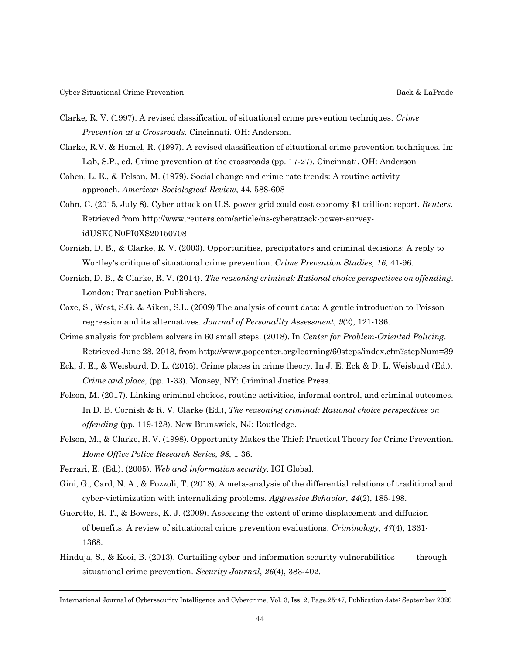- Clarke, R. V. (1997). A revised classification of situational crime prevention techniques. *Crime Prevention at a Crossroads.* Cincinnati. OH: Anderson.
- Clarke, R.V. & Homel, R. (1997). A revised classification of situational crime prevention techniques. In: Lab, S.P., ed. Crime prevention at the crossroads (pp. 17-27). Cincinnati, OH: Anderson
- Cohen, L. E., & Felson, M. (1979). Social change and crime rate trends: A routine activity approach. *American Sociological Review*, 44, 588-608
- Cohn, C. (2015, July 8). Cyber attack on U.S. power grid could cost economy \$1 trillion: report. *Reuters*. Retrieved from http://www.reuters.com/article/us-cyberattack-power-survey idUSKCN0PI0XS20150708
- Cornish, D. B., & Clarke, R. V. (2003). Opportunities, precipitators and criminal decisions: A reply to Wortley's critique of situational crime prevention. *Crime Prevention Studies, 16,* 41-96.
- Cornish, D. B., & Clarke, R. V. (2014). *The reasoning criminal: Rational choice perspectives on offending*. London: Transaction Publishers.
- Coxe, S., West, S.G. & Aiken, S.L. (2009) The analysis of count data: A gentle introduction to Poisson regression and its alternatives. *Journal of Personality Assessment, 9*(2), 121-136.
- Crime analysis for problem solvers in 60 small steps. (2018). In *Center for Problem-Oriented Policing*. Retrieved June 28, 2018, from<http://www.popcenter.org/learning/60steps/index.cfm?stepNum=39>
- Eck, J. E., & Weisburd, D. L. (2015). Crime places in crime theory. In J. E. Eck & D. L. Weisburd (Ed.), *Crime and place,* (pp. 1-33). Monsey, NY: Criminal Justice Press.
- Felson, M. (2017). Linking criminal choices, routine activities, informal control, and criminal outcomes. In D. B. Cornish & R. V. Clarke (Ed.), *The reasoning criminal: Rational choice perspectives on offending* (pp. 119-128). New Brunswick, NJ: Routledge.
- Felson, M., & Clarke, R. V. (1998). Opportunity Makes the Thief: Practical Theory for Crime Prevention. *Home Office Police Research Series, 98*, 1-36.
- Ferrari, E. (Ed.). (2005). *Web and information security*. IGI Global.
- Gini, G., Card, N. A., & Pozzoli, T. (2018). A meta-analysis of the differential relations of traditional and cyber‐victimization with internalizing problems. *Aggressive Behavior*, *44*(2), 185-198.
- Guerette, R. T., & Bowers, K. J. (2009). Assessing the extent of crime displacement and diffusion of benefits: A review of situational crime prevention evaluations. *Criminology*, *47*(4), 1331- 1368.
- Hinduja, S., & Kooi, B. (2013). Curtailing cyber and information security vulnerabilities through situational crime prevention. *Security Journal*, *26*(4), 383-402.

International Journal of Cybersecurity Intelligence and Cybercrime, Vol. 3, Iss. 2, Page.25-47, Publication date: September 2020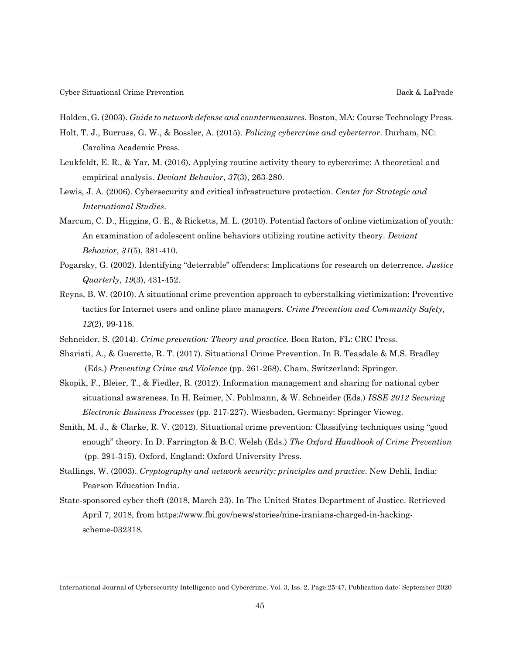Holden, G. (2003). *Guide to network defense and countermeasures*. Boston, MA: Course Technology Press.

- Holt, T. J., Burruss, G. W., & Bossler, A. (2015). *Policing cybercrime and cyberterror*. Durham, NC: Carolina Academic Press.
- Leukfeldt, E. R., & Yar, M. (2016). Applying routine activity theory to cybercrime: A theoretical and empirical analysis. *Deviant Behavior*, *37*(3), 263-280.
- Lewis, J. A. (2006). Cybersecurity and critical infrastructure protection. *Center for Strategic and International Studies*.
- Marcum, C. D., Higgins, G. E., & Ricketts, M. L. (2010). Potential factors of online victimization of youth: An examination of adolescent online behaviors utilizing routine activity theory. *Deviant Behavior*, *31*(5), 381-410.
- Pogarsky, G. (2002). Identifying "deterrable" offenders: Implications for research on deterrence. *Justice Quarterly*, *19*(3), 431-452.
- Reyns, B. W. (2010). A situational crime prevention approach to cyberstalking victimization: Preventive tactics for Internet users and online place managers. *Crime Prevention and Community Safety, 12*(2), 99-118.
- Schneider, S. (2014). *Crime prevention: Theory and practice*. Boca Raton, FL: CRC Press.
- Shariati, A., & Guerette, R. T. (2017). Situational Crime Prevention. In B. Teasdale & M.S. Bradley (Eds.) *Preventing Crime and Violence* (pp. 261-268). Cham, Switzerland: Springer.
- Skopik, F., Bleier, T., & Fiedler, R. (2012). Information management and sharing for national cyber situational awareness. In H. Reimer, N. Pohlmann, & W. Schneider (Eds.) *ISSE 2012 Securing Electronic Business Processes* (pp. 217-227). Wiesbaden, Germany: Springer Vieweg.
- Smith, M. J., & Clarke, R. V. (2012). Situational crime prevention: Classifying techniques using "good enough" theory. In D. Farrington & B.C. Welsh (Eds.) *The Oxford Handbook of Crime Prevention* (pp. 291-315). Oxford, England: Oxford University Press.
- Stallings, W. (2003). *Cryptography and network security: principles and practice*. New Dehli, India: Pearson Education India.
- State-sponsored cyber theft (2018, March 23). In The United States Department of Justice. Retrieved April 7, 2018, from [https://www.fbi.gov/news/stories/nine-iranians-charged-in-hacking](https://www.fbi.gov/news/stories/nine-iranians-charged-in-hacking-) scheme-032318.

International Journal of Cybersecurity Intelligence and Cybercrime, Vol. 3, Iss. 2, Page.25-47, Publication date: September 2020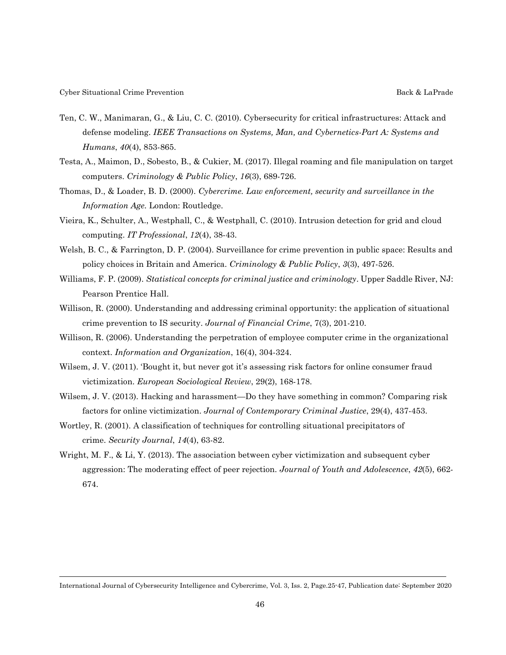- Ten, C. W., Manimaran, G., & Liu, C. C. (2010). Cybersecurity for critical infrastructures: Attack and defense modeling. *IEEE Transactions on Systems, Man, and Cybernetics-Part A: Systems and Humans*, *40*(4), 853-865.
- Testa, A., Maimon, D., Sobesto, B., & Cukier, M. (2017). Illegal roaming and file manipulation on target computers. *Criminology & Public Policy*, *16*(3), 689-726.
- Thomas, D., & Loader, B. D. (2000). *Cybercrime. Law enforcement, security and surveillance in the Information Age.* London: Routledge.
- Vieira, K., Schulter, A., Westphall, C., & Westphall, C. (2010). Intrusion detection for grid and cloud computing. *IT Professional*, *12*(4), 38-43.
- Welsh, B. C., & Farrington, D. P. (2004). Surveillance for crime prevention in public space: Results and policy choices in Britain and America. *Criminology & Public Policy*, *3*(3), 497-526.
- Williams, F. P. (2009). *Statistical concepts for criminal justice and criminology*. Upper Saddle River, NJ: Pearson Prentice Hall.
- Willison, R. (2000). Understanding and addressing criminal opportunity: the application of situational crime prevention to IS security. *Journal of Financial Crime*, 7(3), 201-210.
- Willison, R. (2006). Understanding the perpetration of employee computer crime in the organizational context. *Information and Organization*, 16(4), 304-324.
- Wilsem, J. V. (2011). 'Bought it, but never got it's assessing risk factors for online consumer fraud victimization. *European Sociological Review*, 29(2), 168-178.
- Wilsem, J. V. (2013). Hacking and harassment—Do they have something in common? Comparing risk factors for online victimization. *Journal of Contemporary Criminal Justice*, 29(4), 437-453.
- Wortley, R. (2001). A classification of techniques for controlling situational precipitators of crime. *Security Journal*, *14*(4), 63-82.
- Wright, M. F., & Li, Y. (2013). The association between cyber victimization and subsequent cyber aggression: The moderating effect of peer rejection. *Journal of Youth and Adolescence*, *42*(5), 662- 674.

International Journal of Cybersecurity Intelligence and Cybercrime, Vol. 3, Iss. 2, Page.25-47, Publication date: September 2020